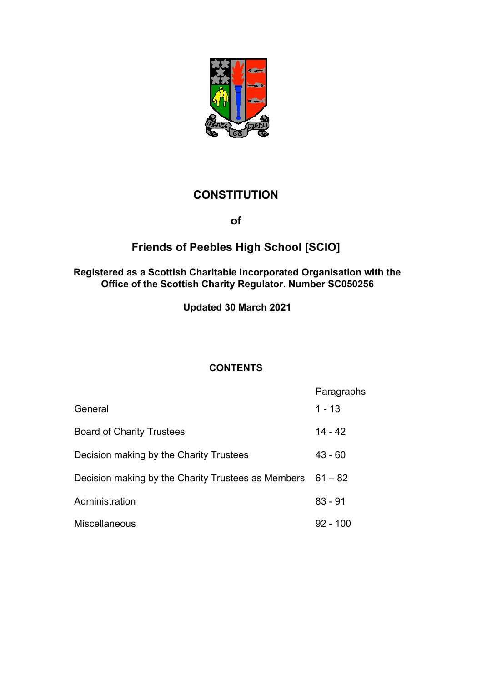

# **CONSTITUTION**

**of** 

# **Friends of Peebles High School [SCIO]**

## **Registered as a Scottish Charitable Incorporated Organisation with the Office of the Scottish Charity Regulator. Number SC050256**

**Updated 30 March 2021**

# **CONTENTS**

| General                                                      | Paragraphs<br>$1 - 13$ |
|--------------------------------------------------------------|------------------------|
|                                                              |                        |
| <b>Board of Charity Trustees</b>                             | $14 - 42$              |
| Decision making by the Charity Trustees                      | $43 - 60$              |
| Decision making by the Charity Trustees as Members $61 - 82$ |                        |
| Administration                                               | $83 - 91$              |
| Miscellaneous                                                | $92 - 100$             |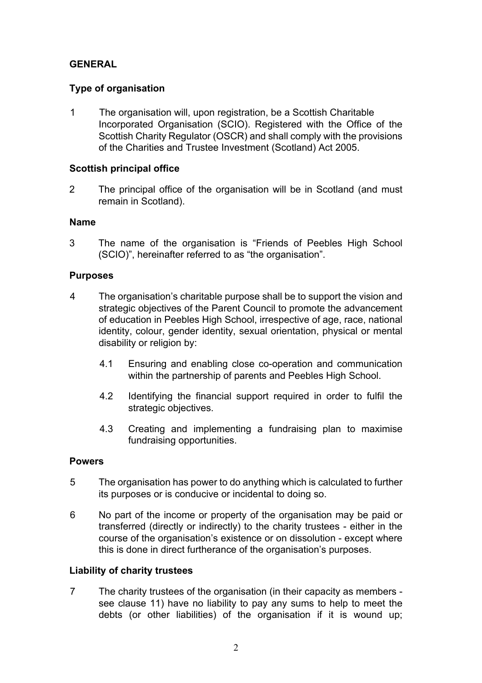# **GENERAL**

# **Type of organisation**

1 The organisation will, upon registration, be a Scottish Charitable Incorporated Organisation (SCIO). Registered with the Office of the Scottish Charity Regulator (OSCR) and shall comply with the provisions of the Charities and Trustee Investment (Scotland) Act 2005.

# **Scottish principal office**

2 The principal office of the organisation will be in Scotland (and must remain in Scotland).

## **Name**

3 The name of the organisation is "Friends of Peebles High School (SCIO)", hereinafter referred to as "the organisation".

## **Purposes**

- 4 The organisation's charitable purpose shall be to support the vision and strategic objectives of the Parent Council to promote the advancement of education in Peebles High School, irrespective of age, race, national identity, colour, gender identity, sexual orientation, physical or mental disability or religion by:
	- 4.1 Ensuring and enabling close co-operation and communication within the partnership of parents and Peebles High School.
	- 4.2 Identifying the financial support required in order to fulfil the strategic objectives.
	- 4.3 Creating and implementing a fundraising plan to maximise fundraising opportunities.

## **Powers**

- 5 The organisation has power to do anything which is calculated to further its purposes or is conducive or incidental to doing so.
- 6 No part of the income or property of the organisation may be paid or transferred (directly or indirectly) to the charity trustees - either in the course of the organisation's existence or on dissolution - except where this is done in direct furtherance of the organisation's purposes.

## **Liability of charity trustees**

7 The charity trustees of the organisation (in their capacity as members see clause 11) have no liability to pay any sums to help to meet the debts (or other liabilities) of the organisation if it is wound up;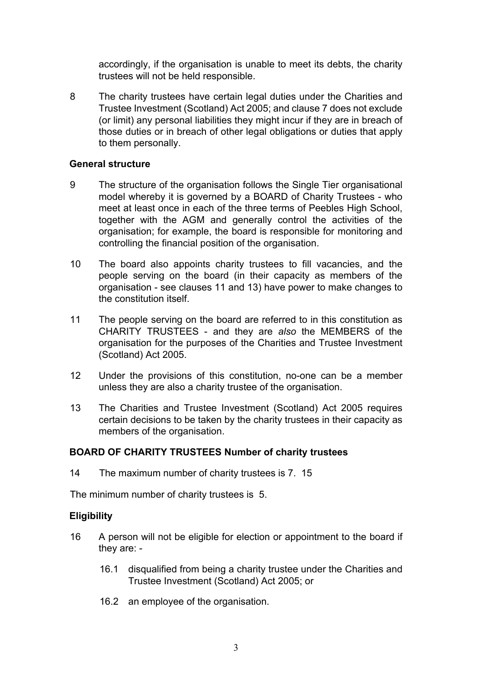accordingly, if the organisation is unable to meet its debts, the charity trustees will not be held responsible.

8 The charity trustees have certain legal duties under the Charities and Trustee Investment (Scotland) Act 2005; and clause 7 does not exclude (or limit) any personal liabilities they might incur if they are in breach of those duties or in breach of other legal obligations or duties that apply to them personally.

#### **General structure**

- 9 The structure of the organisation follows the Single Tier organisational model whereby it is governed by a BOARD of Charity Trustees - who meet at least once in each of the three terms of Peebles High School, together with the AGM and generally control the activities of the organisation; for example, the board is responsible for monitoring and controlling the financial position of the organisation.
- 10 The board also appoints charity trustees to fill vacancies, and the people serving on the board (in their capacity as members of the organisation - see clauses 11 and 13) have power to make changes to the constitution itself.
- 11 The people serving on the board are referred to in this constitution as CHARITY TRUSTEES - and they are *also* the MEMBERS of the organisation for the purposes of the Charities and Trustee Investment (Scotland) Act 2005.
- 12 Under the provisions of this constitution, no-one can be a member unless they are also a charity trustee of the organisation.
- 13 The Charities and Trustee Investment (Scotland) Act 2005 requires certain decisions to be taken by the charity trustees in their capacity as members of the organisation.

#### **BOARD OF CHARITY TRUSTEES Number of charity trustees**

14 The maximum number of charity trustees is 7. 15

The minimum number of charity trustees is 5.

#### **Eligibility**

- 16 A person will not be eligible for election or appointment to the board if they are: -
	- 16.1 disqualified from being a charity trustee under the Charities and Trustee Investment (Scotland) Act 2005; or
	- 16.2 an employee of the organisation.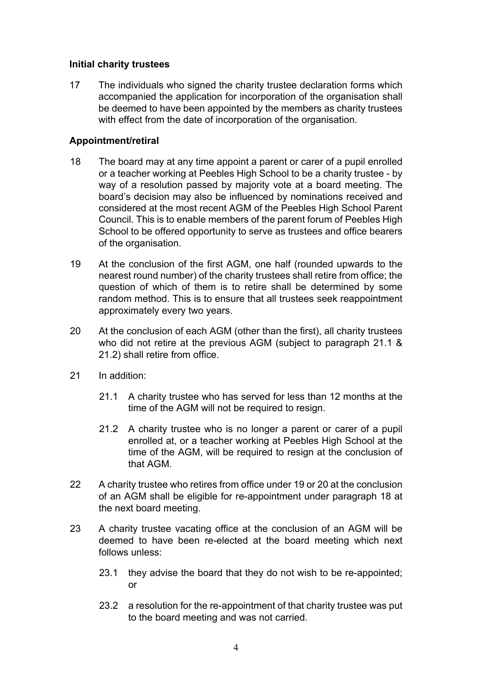#### **Initial charity trustees**

17 The individuals who signed the charity trustee declaration forms which accompanied the application for incorporation of the organisation shall be deemed to have been appointed by the members as charity trustees with effect from the date of incorporation of the organisation.

## **Appointment/retiral**

- 18 The board may at any time appoint a parent or carer of a pupil enrolled or a teacher working at Peebles High School to be a charity trustee - by way of a resolution passed by majority vote at a board meeting. The board's decision may also be influenced by nominations received and considered at the most recent AGM of the Peebles High School Parent Council. This is to enable members of the parent forum of Peebles High School to be offered opportunity to serve as trustees and office bearers of the organisation.
- 19 At the conclusion of the first AGM, one half (rounded upwards to the nearest round number) of the charity trustees shall retire from office; the question of which of them is to retire shall be determined by some random method. This is to ensure that all trustees seek reappointment approximately every two years.
- 20 At the conclusion of each AGM (other than the first), all charity trustees who did not retire at the previous AGM (subject to paragraph 21.1 & 21.2) shall retire from office.
- 21 In addition:
	- 21.1 A charity trustee who has served for less than 12 months at the time of the AGM will not be required to resign.
	- 21.2 A charity trustee who is no longer a parent or carer of a pupil enrolled at, or a teacher working at Peebles High School at the time of the AGM, will be required to resign at the conclusion of that AGM.
- 22 A charity trustee who retires from office under 19 or 20 at the conclusion of an AGM shall be eligible for re-appointment under paragraph 18 at the next board meeting.
- 23 A charity trustee vacating office at the conclusion of an AGM will be deemed to have been re-elected at the board meeting which next follows unless:
	- 23.1 they advise the board that they do not wish to be re-appointed; or
	- 23.2 a resolution for the re-appointment of that charity trustee was put to the board meeting and was not carried.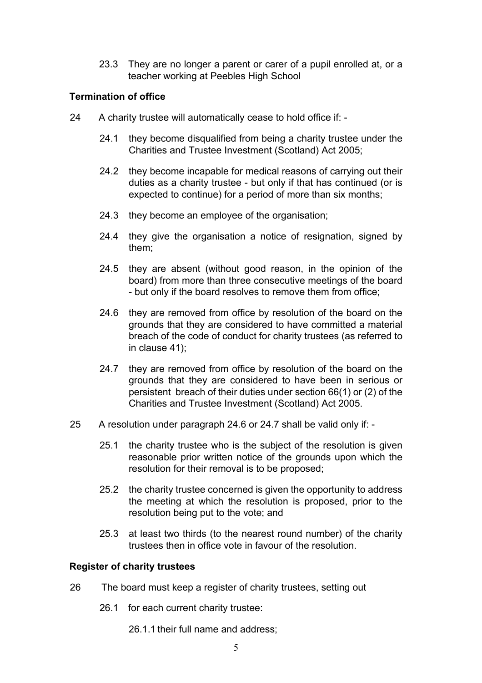23.3 They are no longer a parent or carer of a pupil enrolled at, or a teacher working at Peebles High School

## **Termination of office**

- 24 A charity trustee will automatically cease to hold office if:
	- 24.1 they become disqualified from being a charity trustee under the Charities and Trustee Investment (Scotland) Act 2005;
	- 24.2 they become incapable for medical reasons of carrying out their duties as a charity trustee - but only if that has continued (or is expected to continue) for a period of more than six months;
	- 24.3 they become an employee of the organisation;
	- 24.4 they give the organisation a notice of resignation, signed by them;
	- 24.5 they are absent (without good reason, in the opinion of the board) from more than three consecutive meetings of the board - but only if the board resolves to remove them from office;
	- 24.6 they are removed from office by resolution of the board on the grounds that they are considered to have committed a material breach of the code of conduct for charity trustees (as referred to in clause 41);
	- 24.7 they are removed from office by resolution of the board on the grounds that they are considered to have been in serious or persistent breach of their duties under section 66(1) or (2) of the Charities and Trustee Investment (Scotland) Act 2005.
- 25 A resolution under paragraph 24.6 or 24.7 shall be valid only if:
	- 25.1 the charity trustee who is the subject of the resolution is given reasonable prior written notice of the grounds upon which the resolution for their removal is to be proposed;
	- 25.2 the charity trustee concerned is given the opportunity to address the meeting at which the resolution is proposed, prior to the resolution being put to the vote; and
	- 25.3 at least two thirds (to the nearest round number) of the charity trustees then in office vote in favour of the resolution.

#### **Register of charity trustees**

- 26 The board must keep a register of charity trustees, setting out
	- 26.1 for each current charity trustee:
		- 26.1.1 their full name and address;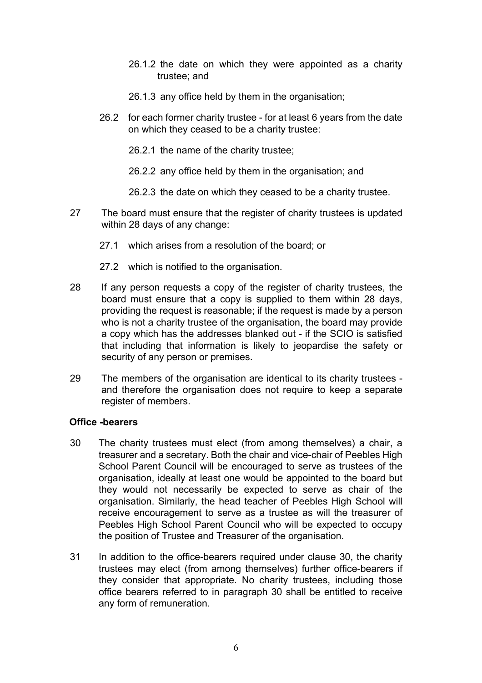- 26.1.2 the date on which they were appointed as a charity trustee; and
- 26.1.3 any office held by them in the organisation;
- 26.2 for each former charity trustee for at least 6 years from the date on which they ceased to be a charity trustee:
	- 26.2.1 the name of the charity trustee;
	- 26.2.2 any office held by them in the organisation; and
	- 26.2.3 the date on which they ceased to be a charity trustee.
- 27 The board must ensure that the register of charity trustees is updated within 28 days of any change:
	- 27.1 which arises from a resolution of the board; or
	- 27.2 which is notified to the organisation.
- 28 If any person requests a copy of the register of charity trustees, the board must ensure that a copy is supplied to them within 28 days, providing the request is reasonable; if the request is made by a person who is not a charity trustee of the organisation, the board may provide a copy which has the addresses blanked out - if the SCIO is satisfied that including that information is likely to jeopardise the safety or security of any person or premises.
- 29 The members of the organisation are identical to its charity trustees and therefore the organisation does not require to keep a separate register of members.

#### **Office -bearers**

- 30 The charity trustees must elect (from among themselves) a chair, a treasurer and a secretary. Both the chair and vice-chair of Peebles High School Parent Council will be encouraged to serve as trustees of the organisation, ideally at least one would be appointed to the board but they would not necessarily be expected to serve as chair of the organisation. Similarly, the head teacher of Peebles High School will receive encouragement to serve as a trustee as will the treasurer of Peebles High School Parent Council who will be expected to occupy the position of Trustee and Treasurer of the organisation.
- 31 In addition to the office-bearers required under clause 30, the charity trustees may elect (from among themselves) further office-bearers if they consider that appropriate. No charity trustees, including those office bearers referred to in paragraph 30 shall be entitled to receive any form of remuneration.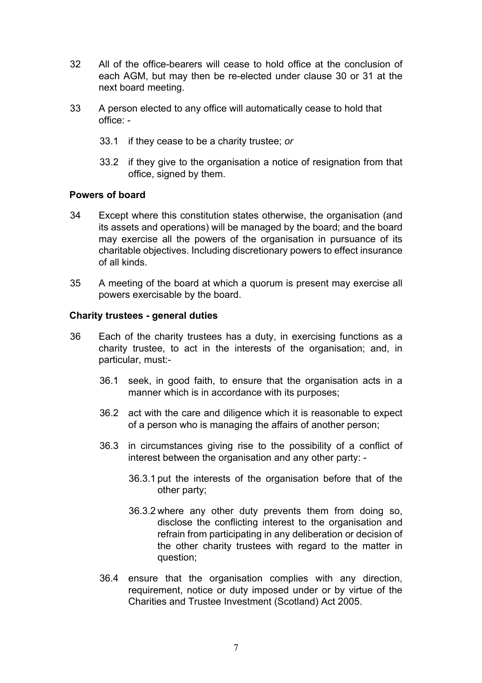- 32 All of the office-bearers will cease to hold office at the conclusion of each AGM, but may then be re-elected under clause 30 or 31 at the next board meeting.
- 33 A person elected to any office will automatically cease to hold that office: -
	- 33.1 if they cease to be a charity trustee; *or*
	- 33.2 if they give to the organisation a notice of resignation from that office, signed by them.

#### **Powers of board**

- 34 Except where this constitution states otherwise, the organisation (and its assets and operations) will be managed by the board; and the board may exercise all the powers of the organisation in pursuance of its charitable objectives. Including discretionary powers to effect insurance of all kinds.
- 35 A meeting of the board at which a quorum is present may exercise all powers exercisable by the board.

#### **Charity trustees - general duties**

- 36 Each of the charity trustees has a duty, in exercising functions as a charity trustee, to act in the interests of the organisation; and, in particular, must:-
	- 36.1 seek, in good faith, to ensure that the organisation acts in a manner which is in accordance with its purposes;
	- 36.2 act with the care and diligence which it is reasonable to expect of a person who is managing the affairs of another person;
	- 36.3 in circumstances giving rise to the possibility of a conflict of interest between the organisation and any other party: -
		- 36.3.1 put the interests of the organisation before that of the other party;
		- 36.3.2 where any other duty prevents them from doing so, disclose the conflicting interest to the organisation and refrain from participating in any deliberation or decision of the other charity trustees with regard to the matter in question;
	- 36.4 ensure that the organisation complies with any direction, requirement, notice or duty imposed under or by virtue of the Charities and Trustee Investment (Scotland) Act 2005.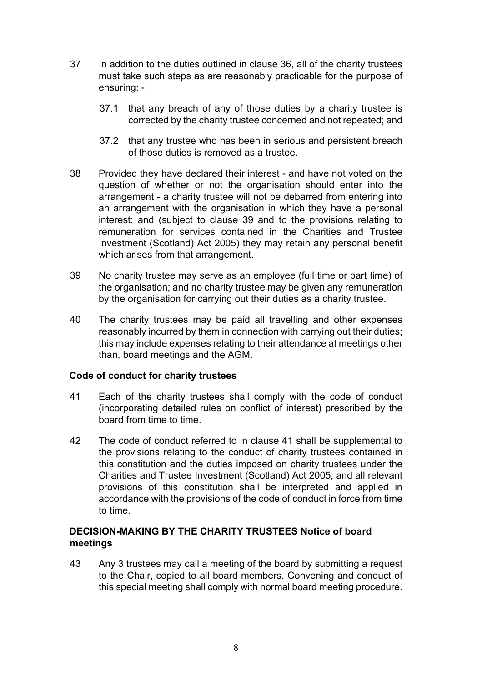- 37 In addition to the duties outlined in clause 36, all of the charity trustees must take such steps as are reasonably practicable for the purpose of ensuring: -
	- 37.1 that any breach of any of those duties by a charity trustee is corrected by the charity trustee concerned and not repeated; and
	- 37.2 that any trustee who has been in serious and persistent breach of those duties is removed as a trustee.
- 38 Provided they have declared their interest and have not voted on the question of whether or not the organisation should enter into the arrangement - a charity trustee will not be debarred from entering into an arrangement with the organisation in which they have a personal interest; and (subject to clause 39 and to the provisions relating to remuneration for services contained in the Charities and Trustee Investment (Scotland) Act 2005) they may retain any personal benefit which arises from that arrangement.
- 39 No charity trustee may serve as an employee (full time or part time) of the organisation; and no charity trustee may be given any remuneration by the organisation for carrying out their duties as a charity trustee.
- 40 The charity trustees may be paid all travelling and other expenses reasonably incurred by them in connection with carrying out their duties; this may include expenses relating to their attendance at meetings other than, board meetings and the AGM.

#### **Code of conduct for charity trustees**

- 41 Each of the charity trustees shall comply with the code of conduct (incorporating detailed rules on conflict of interest) prescribed by the board from time to time.
- 42 The code of conduct referred to in clause 41 shall be supplemental to the provisions relating to the conduct of charity trustees contained in this constitution and the duties imposed on charity trustees under the Charities and Trustee Investment (Scotland) Act 2005; and all relevant provisions of this constitution shall be interpreted and applied in accordance with the provisions of the code of conduct in force from time to time.

## **DECISION-MAKING BY THE CHARITY TRUSTEES Notice of board meetings**

43 Any 3 trustees may call a meeting of the board by submitting a request to the Chair, copied to all board members. Convening and conduct of this special meeting shall comply with normal board meeting procedure.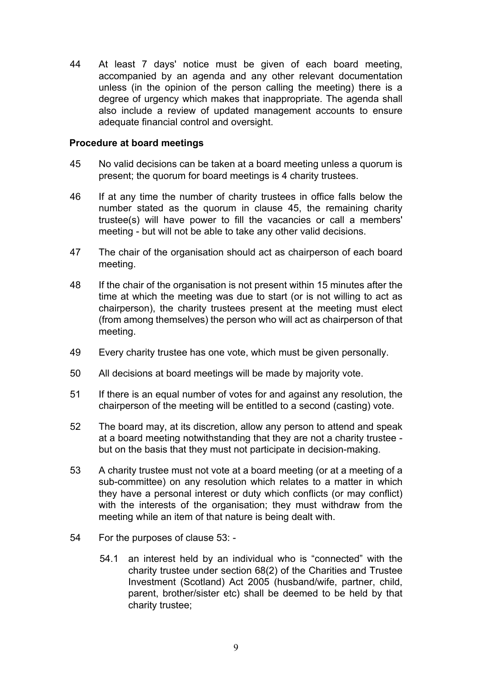44 At least 7 days' notice must be given of each board meeting, accompanied by an agenda and any other relevant documentation unless (in the opinion of the person calling the meeting) there is a degree of urgency which makes that inappropriate. The agenda shall also include a review of updated management accounts to ensure adequate financial control and oversight.

#### **Procedure at board meetings**

- 45 No valid decisions can be taken at a board meeting unless a quorum is present; the quorum for board meetings is 4 charity trustees.
- 46 If at any time the number of charity trustees in office falls below the number stated as the quorum in clause 45, the remaining charity trustee(s) will have power to fill the vacancies or call a members' meeting - but will not be able to take any other valid decisions.
- 47 The chair of the organisation should act as chairperson of each board meeting.
- 48 If the chair of the organisation is not present within 15 minutes after the time at which the meeting was due to start (or is not willing to act as chairperson), the charity trustees present at the meeting must elect (from among themselves) the person who will act as chairperson of that meeting.
- 49 Every charity trustee has one vote, which must be given personally.
- 50 All decisions at board meetings will be made by majority vote.
- 51 If there is an equal number of votes for and against any resolution, the chairperson of the meeting will be entitled to a second (casting) vote.
- 52 The board may, at its discretion, allow any person to attend and speak at a board meeting notwithstanding that they are not a charity trustee but on the basis that they must not participate in decision-making.
- 53 A charity trustee must not vote at a board meeting (or at a meeting of a sub-committee) on any resolution which relates to a matter in which they have a personal interest or duty which conflicts (or may conflict) with the interests of the organisation; they must withdraw from the meeting while an item of that nature is being dealt with.
- 54 For the purposes of clause 53:
	- 54.1 an interest held by an individual who is "connected" with the charity trustee under section 68(2) of the Charities and Trustee Investment (Scotland) Act 2005 (husband/wife, partner, child, parent, brother/sister etc) shall be deemed to be held by that charity trustee;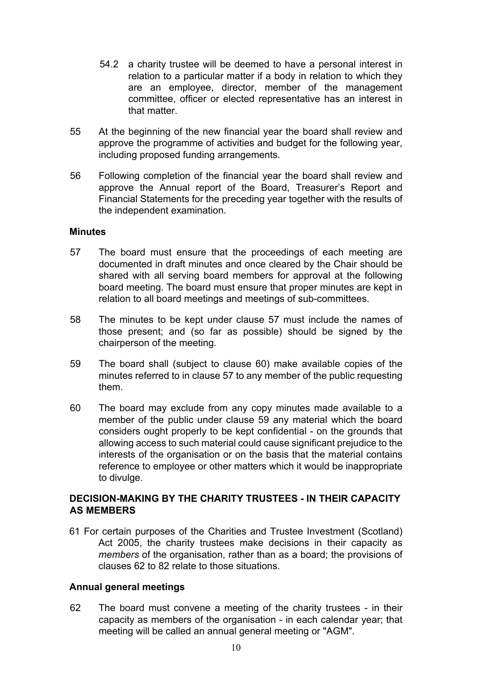- 54.2 a charity trustee will be deemed to have a personal interest in relation to a particular matter if a body in relation to which they are an employee, director, member of the management committee, officer or elected representative has an interest in that matter.
- 55 At the beginning of the new financial year the board shall review and approve the programme of activities and budget for the following year, including proposed funding arrangements.
- 56 Following completion of the financial year the board shall review and approve the Annual report of the Board, Treasurer's Report and Financial Statements for the preceding year together with the results of the independent examination.

#### **Minutes**

- 57 The board must ensure that the proceedings of each meeting are documented in draft minutes and once cleared by the Chair should be shared with all serving board members for approval at the following board meeting. The board must ensure that proper minutes are kept in relation to all board meetings and meetings of sub-committees.
- 58 The minutes to be kept under clause 57 must include the names of those present; and (so far as possible) should be signed by the chairperson of the meeting.
- 59 The board shall (subject to clause 60) make available copies of the minutes referred to in clause 57 to any member of the public requesting them.
- 60 The board may exclude from any copy minutes made available to a member of the public under clause 59 any material which the board considers ought properly to be kept confidential - on the grounds that allowing access to such material could cause significant prejudice to the interests of the organisation or on the basis that the material contains reference to employee or other matters which it would be inappropriate to divulge.

## **DECISION-MAKING BY THE CHARITY TRUSTEES - IN THEIR CAPACITY AS MEMBERS**

61 For certain purposes of the Charities and Trustee Investment (Scotland) Act 2005, the charity trustees make decisions in their capacity as *members* of the organisation, rather than as a board; the provisions of clauses 62 to 82 relate to those situations.

#### **Annual general meetings**

62 The board must convene a meeting of the charity trustees - in their capacity as members of the organisation - in each calendar year; that meeting will be called an annual general meeting or "AGM".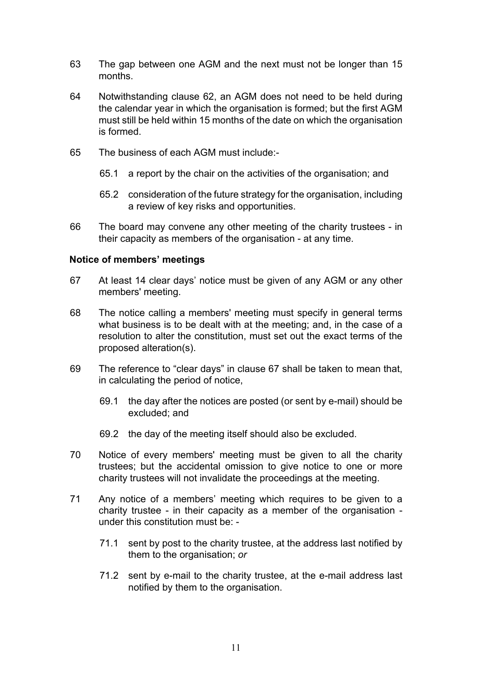- 63 The gap between one AGM and the next must not be longer than 15 months.
- 64 Notwithstanding clause 62, an AGM does not need to be held during the calendar year in which the organisation is formed; but the first AGM must still be held within 15 months of the date on which the organisation is formed.
- 65 The business of each AGM must include:-
	- 65.1 a report by the chair on the activities of the organisation; and
	- 65.2 consideration of the future strategy for the organisation, including a review of key risks and opportunities.
- 66 The board may convene any other meeting of the charity trustees in their capacity as members of the organisation - at any time.

#### **Notice of members' meetings**

- 67 At least 14 clear days' notice must be given of any AGM or any other members' meeting.
- 68 The notice calling a members' meeting must specify in general terms what business is to be dealt with at the meeting; and, in the case of a resolution to alter the constitution, must set out the exact terms of the proposed alteration(s).
- 69 The reference to "clear days" in clause 67 shall be taken to mean that, in calculating the period of notice,
	- 69.1 the day after the notices are posted (or sent by e-mail) should be excluded; and
	- 69.2 the day of the meeting itself should also be excluded.
- 70 Notice of every members' meeting must be given to all the charity trustees; but the accidental omission to give notice to one or more charity trustees will not invalidate the proceedings at the meeting.
- 71 Any notice of a members' meeting which requires to be given to a charity trustee - in their capacity as a member of the organisation under this constitution must be: -
	- 71.1 sent by post to the charity trustee, at the address last notified by them to the organisation; *or*
	- 71.2 sent by e-mail to the charity trustee, at the e-mail address last notified by them to the organisation.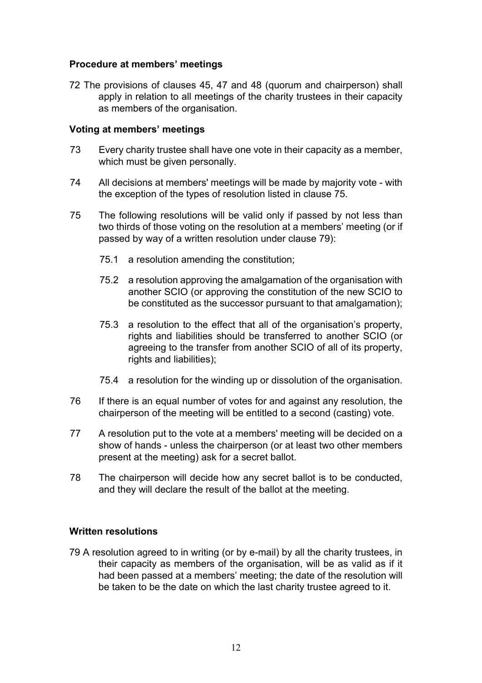#### **Procedure at members' meetings**

72 The provisions of clauses 45, 47 and 48 (quorum and chairperson) shall apply in relation to all meetings of the charity trustees in their capacity as members of the organisation.

#### **Voting at members' meetings**

- 73 Every charity trustee shall have one vote in their capacity as a member, which must be given personally.
- 74 All decisions at members' meetings will be made by majority vote with the exception of the types of resolution listed in clause 75.
- 75 The following resolutions will be valid only if passed by not less than two thirds of those voting on the resolution at a members' meeting (or if passed by way of a written resolution under clause 79):
	- 75.1 a resolution amending the constitution;
	- 75.2 a resolution approving the amalgamation of the organisation with another SCIO (or approving the constitution of the new SCIO to be constituted as the successor pursuant to that amalgamation);
	- 75.3 a resolution to the effect that all of the organisation's property, rights and liabilities should be transferred to another SCIO (or agreeing to the transfer from another SCIO of all of its property, rights and liabilities);
	- 75.4 a resolution for the winding up or dissolution of the organisation.
- 76 If there is an equal number of votes for and against any resolution, the chairperson of the meeting will be entitled to a second (casting) vote.
- 77 A resolution put to the vote at a members' meeting will be decided on a show of hands - unless the chairperson (or at least two other members present at the meeting) ask for a secret ballot.
- 78 The chairperson will decide how any secret ballot is to be conducted, and they will declare the result of the ballot at the meeting.

#### **Written resolutions**

79 A resolution agreed to in writing (or by e-mail) by all the charity trustees, in their capacity as members of the organisation, will be as valid as if it had been passed at a members' meeting; the date of the resolution will be taken to be the date on which the last charity trustee agreed to it.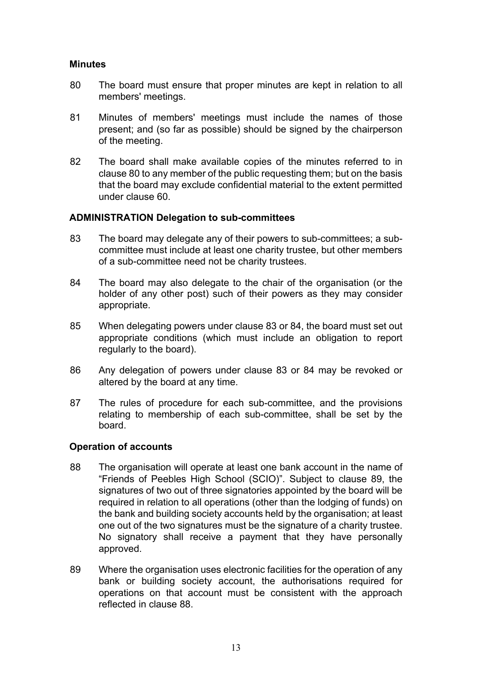#### **Minutes**

- 80 The board must ensure that proper minutes are kept in relation to all members' meetings.
- 81 Minutes of members' meetings must include the names of those present; and (so far as possible) should be signed by the chairperson of the meeting.
- 82 The board shall make available copies of the minutes referred to in clause 80 to any member of the public requesting them; but on the basis that the board may exclude confidential material to the extent permitted under clause 60.

#### **ADMINISTRATION Delegation to sub-committees**

- 83 The board may delegate any of their powers to sub-committees; a subcommittee must include at least one charity trustee, but other members of a sub-committee need not be charity trustees.
- 84 The board may also delegate to the chair of the organisation (or the holder of any other post) such of their powers as they may consider appropriate.
- 85 When delegating powers under clause 83 or 84, the board must set out appropriate conditions (which must include an obligation to report regularly to the board).
- 86 Any delegation of powers under clause 83 or 84 may be revoked or altered by the board at any time.
- 87 The rules of procedure for each sub-committee, and the provisions relating to membership of each sub-committee, shall be set by the board.

#### **Operation of accounts**

- 88 The organisation will operate at least one bank account in the name of "Friends of Peebles High School (SCIO)". Subject to clause 89, the signatures of two out of three signatories appointed by the board will be required in relation to all operations (other than the lodging of funds) on the bank and building society accounts held by the organisation; at least one out of the two signatures must be the signature of a charity trustee. No signatory shall receive a payment that they have personally approved.
- 89 Where the organisation uses electronic facilities for the operation of any bank or building society account, the authorisations required for operations on that account must be consistent with the approach reflected in clause 88.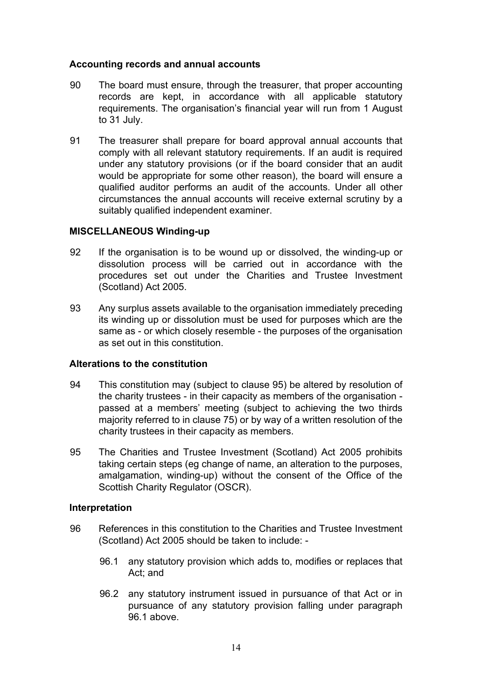#### **Accounting records and annual accounts**

- 90 The board must ensure, through the treasurer, that proper accounting records are kept, in accordance with all applicable statutory requirements. The organisation's financial year will run from 1 August to 31 July.
- 91 The treasurer shall prepare for board approval annual accounts that comply with all relevant statutory requirements. If an audit is required under any statutory provisions (or if the board consider that an audit would be appropriate for some other reason), the board will ensure a qualified auditor performs an audit of the accounts. Under all other circumstances the annual accounts will receive external scrutiny by a suitably qualified independent examiner.

#### **MISCELLANEOUS Winding-up**

- 92 If the organisation is to be wound up or dissolved, the winding-up or dissolution process will be carried out in accordance with the procedures set out under the Charities and Trustee Investment (Scotland) Act 2005.
- 93 Any surplus assets available to the organisation immediately preceding its winding up or dissolution must be used for purposes which are the same as - or which closely resemble - the purposes of the organisation as set out in this constitution.

#### **Alterations to the constitution**

- 94 This constitution may (subject to clause 95) be altered by resolution of the charity trustees - in their capacity as members of the organisation passed at a members' meeting (subject to achieving the two thirds majority referred to in clause 75) or by way of a written resolution of the charity trustees in their capacity as members.
- 95 The Charities and Trustee Investment (Scotland) Act 2005 prohibits taking certain steps (eg change of name, an alteration to the purposes, amalgamation, winding-up) without the consent of the Office of the Scottish Charity Regulator (OSCR).

#### **Interpretation**

- 96 References in this constitution to the Charities and Trustee Investment (Scotland) Act 2005 should be taken to include: -
	- 96.1 any statutory provision which adds to, modifies or replaces that Act; and
	- 96.2 any statutory instrument issued in pursuance of that Act or in pursuance of any statutory provision falling under paragraph 96.1 above.